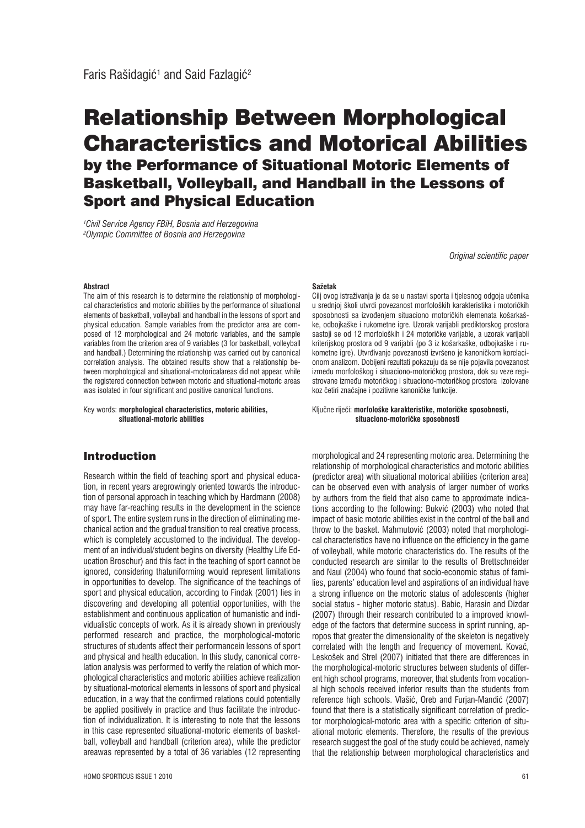# Relationship Between Morphological Characteristics and Motorical Abilities by the Performance of Situational Motoric Elements of Basketball, Volleyball, and Handball in the Lessons of Sport and Physical Education

*1 Civil Service Agency FBiH, Bosnia and Herzegovina 2 Olympic Committee of Bosnia and Herzegovina* 

*Original scientific paper*

#### **Abstract**

The aim of this research is to determine the relationship of morphological characteristics and motoric abilities by the performance of situational elements of basketball, volleyball and handball in the lessons of sport and physical education. Sample variables from the predictor area are composed of 12 morphological and 24 motoric variables, and the sample variables from the criterion area of 9 variables (3 for basketball, volleyball and handball.) Determining the relationship was carried out by canonical correlation analysis. The obtained results show that a relationship between morphological and situational-motoricalareas did not appear, while the registered connection between motoric and situational-motoric areas was isolated in four significant and positive canonical functions.

Key words: **morphological characteristics, motoric abilities, situational-motoric abilities**

## Introduction

Research within the field of teaching sport and physical education, in recent years aregrowingly oriented towards the introduction of personal approach in teaching which by Hardmann (2008) may have far-reaching results in the development in the science of sport. The entire system runs in the direction of eliminating mechanical action and the gradual transition to real creative process, which is completely accustomed to the individual. The development of an individual/student begins on diversity (Healthy Life Education Broschur) and this fact in the teaching of sport cannot be ignored, considering thatuniforming would represent limitations in opportunities to develop. The significance of the teachings of sport and physical education, according to Findak (2001) lies in discovering and developing all potential opportunities, with the establishment and continuous application of humanistic and individualistic concepts of work. As it is already shown in previously performed research and practice, the morphological-motoric structures of students affect their performancein lessons of sport and physical and health education. In this study, canonical correlation analysis was performed to verify the relation of which morphological characteristics and motoric abilities achieve realization by situational-motorical elements in lessons of sport and physical education, in a way that the confirmed relations could potentially be applied positively in practice and thus facilitate the introduction of individualization. It is interesting to note that the lessons in this case represented situational-motoric elements of basketball, volleyball and handball (criterion area), while the predictor areawas represented by a total of 36 variables (12 representing

#### **Sažetak**

Cilj ovog istraživanja je da se u nastavi sporta i tjelesnog odgoja učenika u srednjoj školi utvrdi povezanost morfoloških karakteristika i motoričkih sposobnosti sa izvođenjem situaciono motoričkih elemenata košarkaške, odbojkaške i rukometne igre. Uzorak varijabli prediktorskog prostora sastoji se od 12 morfoloških i 24 motoričke varijable, a uzorak varijabli kriterijskog prostora od 9 varijabli (po 3 iz košarkaške, odbojkaške i rukometne igre). Utvrđivanje povezanosti izvršeno je kanoničkom korelacionom analizom. Dobijeni rezultati pokazuju da se nije pojavila povezanost između morfološkog i situaciono-motoričkog prostora, dok su veze registrovane između motoričkog i situaciono-motoričkog prostora izolovane koz četiri značajne i pozitivne kanoničke funkcije.

#### KljuĀne rijeĀi: **morfološke karakteristike, motoriĀke sposobnosti, situaciono-motoriĀke sposobnosti**

morphological and 24 representing motoric area. Determining the relationship of morphological characteristics and motoric abilities (predictor area) with situational motorical abilities (criterion area) can be observed even with analysis of larger number of works by authors from the field that also came to approximate indications according to the following: Bukvić (2003) who noted that impact of basic motoric abilities exist in the control of the ball and throw to the basket. Mahmutović (2003) noted that morphological characteristics have no influence on the efficiency in the game of volleyball, while motoric characteristics do. The results of the conducted research are similar to the results of Brettschneider and Naul (2004) who found that socio-economic status of families, parents' education level and aspirations of an individual have a strong influence on the motoric status of adolescents (higher social status - higher motoric status). Babic, Harasin and Dizdar (2007) through their research contributed to a improved knowledge of the factors that determine success in sprint running, apropos that greater the dimensionality of the skeleton is negatively correlated with the length and frequency of movement. Kovač, Leskošek and Strel (2007) initiated that there are differences in the morphological-motoric structures between students of different high school programs, moreover, that students from vocational high schools received inferior results than the students from reference high schools. Vlašić, Oreb and Furjan-Mandić (2007) found that there is a statistically significant correlation of predictor morphological-motoric area with a specific criterion of situational motoric elements. Therefore, the results of the previous research suggest the goal of the study could be achieved, namely that the relationship between morphological characteristics and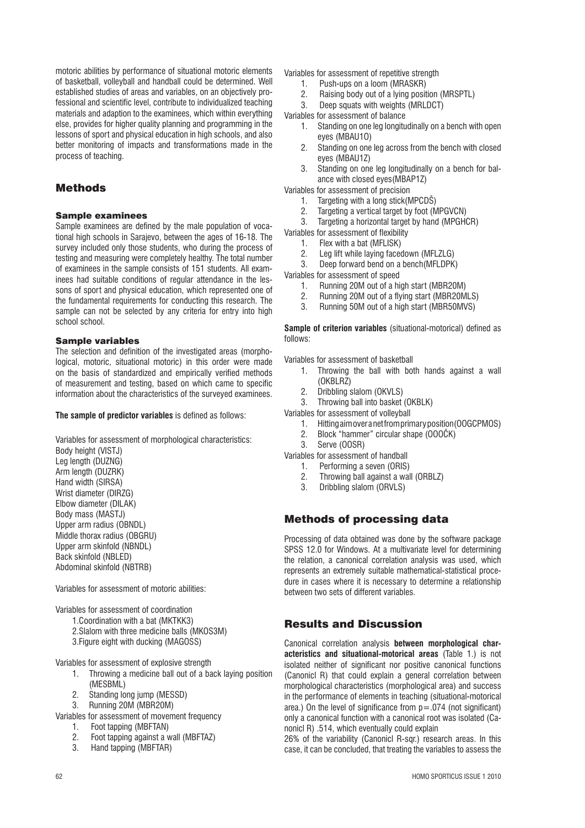motoric abilities by performance of situational motoric elements of basketball, volleyball and handball could be determined. Well established studies of areas and variables, on an objectively professional and scientific level, contribute to individualized teaching materials and adaption to the examinees, which within everything else, provides for higher quality planning and programming in the lessons of sport and physical education in high schools, and also better monitoring of impacts and transformations made in the process of teaching.

## Methods

## Sample examinees

Sample examinees are defined by the male population of vocational high schools in Sarajevo, between the ages of 16-18. The survey included only those students, who during the process of testing and measuring were completely healthy. The total number of examinees in the sample consists of 151 students. All examinees had suitable conditions of regular attendance in the lessons of sport and physical education, which represented one of the fundamental requirements for conducting this research. The sample can not be selected by any criteria for entry into high school school.

## Sample variables

The selection and definition of the investigated areas (morphological, motoric, situational motoric) in this order were made on the basis of standardized and empirically verified methods of measurement and testing, based on which came to specific information about the characteristics of the surveyed examinees.

**The sample of predictor variables** is defined as follows:

Variables for assessment of morphological characteristics:

Body height (VISTJ) Leg length (DUZNG) Arm length (DUZRK) Hand width (SIRSA) Wrist diameter (DIRZG) Elbow diameter (DILAK) Body mass (MASTJ) Upper arm radius (OBNDL) Middle thorax radius (OBGRU) Upper arm skinfold (NBNDL) Back skinfold (NBLED) Abdominal skinfold (NBTRB)

Variables for assessment of motoric abilities:

Variables for assessment of coordination

- 1.Coordination with a bat (MKTKK3)
- 2.Slalom with three medicine balls (MKOS3M)
- 3.Figure eight with ducking (MAGOSS)

Variables for assessment of explosive strength

- 1. Throwing a medicine ball out of a back laying position (MESBML)
- 2. Standing long jump (MESSD)
- 3. Running 20M (MBR20M)

Variables for assessment of movement frequency

- 1. Foot tapping (MBFTAN)
- 2. Foot tapping against a wall (MBFTAZ)
- 3. Hand tapping (MBFTAR)

Variables for assessment of repetitive strength

- 1. Push-ups on a loom (MRASKR)
- 2. Raising body out of a lying position (MRSPTL)
- 3. Deep squats with weights (MRLDCT)
- Variables for assessment of balance
	- 1. Standing on one leg longitudinally on a bench with open eyes (MBAU1O)
	- 2. Standing on one leg across from the bench with closed eyes (MBAU1Z)
	- 3. Standing on one leg longitudinally on a bench for balance with closed eyes(MBAP1Z)

Variables for assessment of precision

- 1. Targeting with a long stick(MPCDŠ)
- 2. Targeting a vertical target by foot (MPGVCN)
- 3. Targeting a horizontal target by hand (MPGHCR)
- Variables for assessment of flexibility
	- 1. Flex with a bat (MFLISK)
	- 2. Leg lift while laying facedown (MFLZLG)
	- 3. Deep forward bend on a bench(MFLDPK)

Variables for assessment of speed

- 1. Running 20M out of a high start (MBR20M)<br>2. Running 20M out of a flying start (MBR20M
- 2. Running 20M out of a flying start (MBR20MLS)
- 3. Running 50M out of a high start (MBR50MVS)

**Sample of criterion variables** (situational-motorical) defined as follows:

Variables for assessment of basketball

- 1. Throwing the ball with both hands against a wall (OKBLRZ)
- 2. Dribbling slalom (OKVLS)
- 3. Throwing ball into basket (OKBLK)
- Variables for assessment of volleyball
	- 1. Hitting aim over a net from primary position(OOGCPMOS)
	- 2. Block "hammer" circular shape (OOOČK)
	- 3. Serve (OOSR)
- Variables for assessment of handball
	- 1. Performing a seven (ORIS)
	- 2. Throwing ball against a wall (ORBLZ)
	- 3. Dribbling slalom (ORVLS)

## Methods of processing data

Processing of data obtained was done by the software package SPSS 12.0 for Windows. At a multivariate level for determining the relation, a canonical correlation analysis was used, which represents an extremely suitable mathematical-statistical procedure in cases where it is necessary to determine a relationship between two sets of different variables.

# Results and Discussion

Canonical correlation analysis **between morphological characteristics and situational-motorical areas** (Table 1.) is not isolated neither of significant nor positive canonical functions (Canonicl R) that could explain a general correlation between morphological characteristics (morphological area) and success in the performance of elements in teaching (situational-motorical area.) On the level of significance from  $p = 0.074$  (not significant) only a canonical function with a canonical root was isolated (Canonicl R) .514, which eventually could explain

26% of the variability (Canonicl R-sqr.) research areas. In this case, it can be concluded, that treating the variables to assess the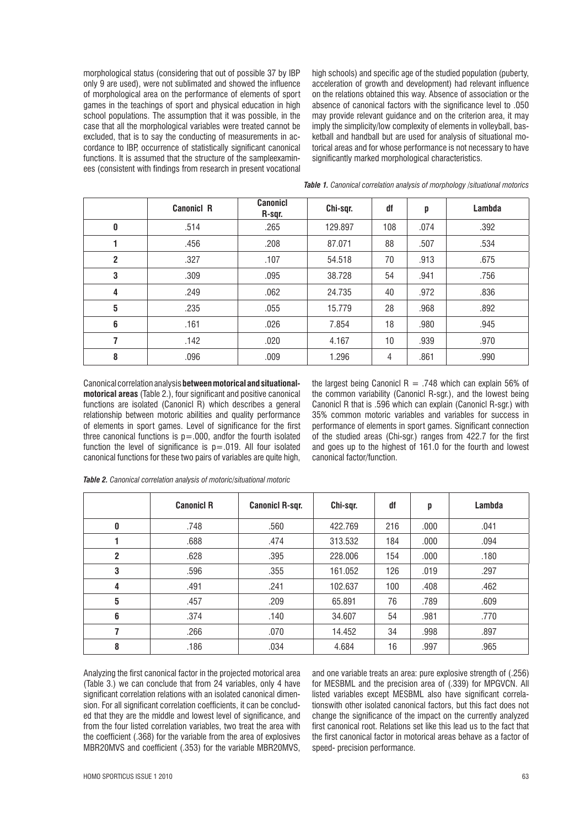morphological status (considering that out of possible 37 by IBP only 9 are used), were not sublimated and showed the influence of morphological area on the performance of elements of sport games in the teachings of sport and physical education in high school populations. The assumption that it was possible, in the case that all the morphological variables were treated cannot be excluded, that is to say the conducting of measurements in accordance to IBP, occurrence of statistically significant canonical functions. It is assumed that the structure of the sampleexaminees (consistent with findings from research in present vocational high schools) and specific age of the studied population (puberty, acceleration of growth and development) had relevant influence on the relations obtained this way. Absence of association or the absence of canonical factors with the significance level to .050 may provide relevant guidance and on the criterion area, it may imply the simplicity/low complexity of elements in volleyball, basketball and handball but are used for analysis of situational motorical areas and for whose performance is not necessary to have significantly marked morphological characteristics.

|                | <b>Canonicl R</b> | <b>Canonicl</b><br>R-sqr. | Chi-sqr. | df  | p    | Lambda |
|----------------|-------------------|---------------------------|----------|-----|------|--------|
| 0              | .514              | .265                      | 129.897  | 108 | .074 | .392   |
|                | .456              | .208                      | 87.071   | 88  | .507 | .534   |
| $\overline{2}$ | .327              | .107                      | 54.518   | 70  | .913 | .675   |
| 3              | .309              | .095                      | 38.728   | 54  | .941 | .756   |
| 4              | .249              | .062                      | 24.735   | 40  | .972 | .836   |
| 5              | .235              | .055                      | 15.779   | 28  | .968 | .892   |
| 6              | .161              | .026                      | 7.854    | 18  | .980 | .945   |
| 7              | .142              | .020                      | 4.167    | 10  | .939 | .970   |
| 8              | .096              | .009                      | 1.296    | 4   | .861 | .990   |

*Table 1. Canonical correlation analysis of morphology /situational motorics*

Canonical correlation analysis **between motorical and situationalmotorical areas** (Table 2.), four significant and positive canonical functions are isolated (Canonicl R) which describes a general relationship between motoric abilities and quality performance of elements in sport games. Level of significance for the first three canonical functions is  $p = .000$ , andfor the fourth isolated function the level of significance is  $p = .019$ . All four isolated canonical functions for these two pairs of variables are quite high, the largest being Canonicl  $R = .748$  which can explain 56% of the common variability (Canonicl R-sgr.), and the lowest being Canonicl R that is .596 which can explain (Canonicl R-sgr.) with 35% common motoric variables and variables for success in performance of elements in sport games. Significant connection of the studied areas (Chi-sgr.) ranges from 422.7 for the first and goes up to the highest of 161.0 for the fourth and lowest canonical factor/function.

|                | <b>Canonicl R</b> | <b>Canonicl R-sqr.</b> | Chi-sqr. | df  | p    | Lambda |
|----------------|-------------------|------------------------|----------|-----|------|--------|
| 0              | .748              | .560                   | 422.769  | 216 | .000 | .041   |
|                | .688              | .474                   | 313.532  | 184 | .000 | .094   |
| $\overline{2}$ | .628              | .395                   | 228.006  | 154 | .000 | .180   |
| 3              | .596              | .355                   | 161.052  | 126 | .019 | .297   |
| 4              | .491              | .241                   | 102.637  | 100 | .408 | .462   |
| 5              | .457              | .209                   | 65.891   | 76  | .789 | .609   |
| 6              | .374              | .140                   | 34.607   | 54  | .981 | .770   |
|                | .266              | .070                   | 14.452   | 34  | .998 | .897   |
| 8              | .186              | .034                   | 4.684    | 16  | .997 | .965   |

*Table 2. Canonical correlation analysis of motoric/situational motoric*

Analyzing the first canonical factor in the projected motorical area (Table 3.) we can conclude that from 24 variables, only 4 have significant correlation relations with an isolated canonical dimension. For all significant correlation coefficients, it can be concluded that they are the middle and lowest level of significance, and from the four listed correlation variables, two treat the area with the coefficient (.368) for the variable from the area of explosives MBR20MVS and coefficient (.353) for the variable MBR20MVS, and one variable treats an area: pure explosive strength of (.256) for MESBML and the precision area of (.339) for MPGVCN. All listed variables except MESBML also have significant correlationswith other isolated canonical factors, but this fact does not change the significance of the impact on the currently analyzed first canonical root. Relations set like this lead us to the fact that the first canonical factor in motorical areas behave as a factor of speed- precision performance.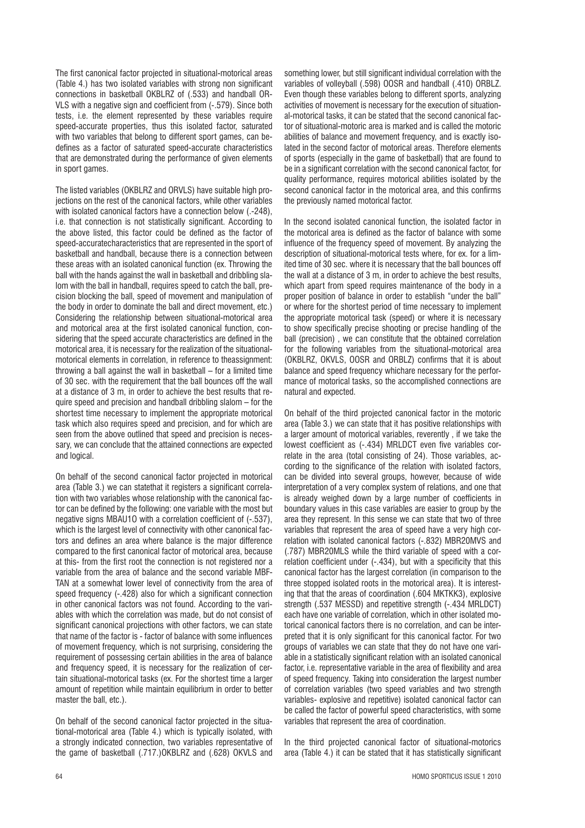The first canonical factor projected in situational-motorical areas (Table 4.) has two isolated variables with strong non significant connections in basketball OKBLRZ of (.533) and handball OR-VLS with a negative sign and coefficient from (-.579). Since both tests, i.e. the element represented by these variables require speed-accurate properties, thus this isolated factor, saturated with two variables that belong to different sport games, can bedefines as a factor of saturated speed-accurate characteristics that are demonstrated during the performance of given elements in sport games.

The listed variables (OKBLRZ and ORVLS) have suitable high projections on the rest of the canonical factors, while other variables with isolated canonical factors have a connection below (.-248), i.e. that connection is not statistically significant. According to the above listed, this factor could be defined as the factor of speed-accuratecharacteristics that are represented in the sport of basketball and handball, because there is a connection between these areas with an isolated canonical function (ex. Throwing the ball with the hands against the wall in basketball and dribbling slalom with the ball in handball, requires speed to catch the ball, precision blocking the ball, speed of movement and manipulation of the body in order to dominate the ball and direct movement, etc.) Considering the relationship between situational-motorical area and motorical area at the first isolated canonical function, considering that the speed accurate characteristics are defined in the motorical area, it is necessary for the realization of the situationalmotorical elements in correlation, in reference to theassignment: throwing a ball against the wall in basketball – for a limited time of 30 sec. with the requirement that the ball bounces off the wall at a distance of 3 m, in order to achieve the best results that require speed and precision and handball dribbling slalom – for the shortest time necessary to implement the appropriate motorical task which also requires speed and precision, and for which are seen from the above outlined that speed and precision is necessary, we can conclude that the attained connections are expected and logical.

On behalf of the second canonical factor projected in motorical area (Table 3.) we can statethat it registers a significant correlation with two variables whose relationship with the canonical factor can be defined by the following: one variable with the most but negative signs MBAU1O with a correlation coefficient of (-.537), which is the largest level of connectivity with other canonical factors and defines an area where balance is the major difference compared to the first canonical factor of motorical area, because at this- from the first root the connection is not registered nor a variable from the area of balance and the second variable MBF-TAN at a somewhat lower level of connectivity from the area of speed frequency (-.428) also for which a significant connection in other canonical factors was not found. According to the variables with which the correlation was made, but do not consist of significant canonical projections with other factors, we can state that name of the factor is - factor of balance with some influences of movement frequency, which is not surprising, considering the requirement of possessing certain abilities in the area of balance and frequency speed, it is necessary for the realization of certain situational-motorical tasks (ex. For the shortest time a larger amount of repetition while maintain equilibrium in order to better master the ball, etc.).

On behalf of the second canonical factor projected in the situational-motorical area (Table 4.) which is typically isolated, with a strongly indicated connection, two variables representative of the game of basketball (.717.)OKBLRZ and (.628) OKVLS and

something lower, but still significant individual correlation with the variables of volleyball (.598) OOSR and handball (.410) ORBLZ. Even though these variables belong to different sports, analyzing activities of movement is necessary for the execution of situational-motorical tasks, it can be stated that the second canonical factor of situational-motoric area is marked and is called the motoric abilities of balance and movement frequency, and is exactly isolated in the second factor of motorical areas. Therefore elements of sports (especially in the game of basketball) that are found to be in a significant correlation with the second canonical factor, for quality performance, requires motorical abilities isolated by the second canonical factor in the motorical area, and this confirms the previously named motorical factor.

In the second isolated canonical function, the isolated factor in the motorical area is defined as the factor of balance with some influence of the frequency speed of movement. By analyzing the description of situational-motorical tests where, for ex. for a limited time of 30 sec. where it is necessary that the ball bounces off the wall at a distance of 3 m, in order to achieve the best results, which apart from speed requires maintenance of the body in a proper position of balance in order to establish "under the ball" or where for the shortest period of time necessary to implement the appropriate motorical task (speed) or where it is necessary to show specifically precise shooting or precise handling of the ball (precision) , we can constitute that the obtained correlation for the following variables from the situational-motorical area (OKBLRZ, OKVLS, OOSR and ORBLZ) confirms that it is about balance and speed frequency whichare necessary for the performance of motorical tasks, so the accomplished connections are natural and expected.

On behalf of the third projected canonical factor in the motoric area (Table 3.) we can state that it has positive relationships with a larger amount of motorical variables, reverently , if we take the lowest coefficient as (-.434) MRLDCT even five variables correlate in the area (total consisting of 24). Those variables, according to the significance of the relation with isolated factors, can be divided into several groups, however, because of wide interpretation of a very complex system of relations, and one that is already weighed down by a large number of coefficients in boundary values in this case variables are easier to group by the area they represent. In this sense we can state that two of three variables that represent the area of speed have a very high correlation with isolated canonical factors (-.832) MBR20MVS and (.787) MBR20MLS while the third variable of speed with a correlation coefficient under (-.434), but with a specificity that this canonical factor has the largest correlation (in comparison to the three stopped isolated roots in the motorical area). It is interesting that that the areas of coordination (.604 MKTKK3), explosive strength (.537 MESSD) and repetitive strength (-.434 MRLDCT) each have one variable of correlation, which in other isolated motorical canonical factors there is no correlation, and can be interpreted that it is only significant for this canonical factor. For two groups of variables we can state that they do not have one variable in a statistically significant relation with an isolated canonical factor, i.e. representative variable in the area of flexibility and area of speed frequency. Taking into consideration the largest number of correlation variables (two speed variables and two strength variables- explosive and repetitive) isolated canonical factor can be called the factor of powerful speed characteristics, with some variables that represent the area of coordination.

In the third projected canonical factor of situational-motorics area (Table 4.) it can be stated that it has statistically significant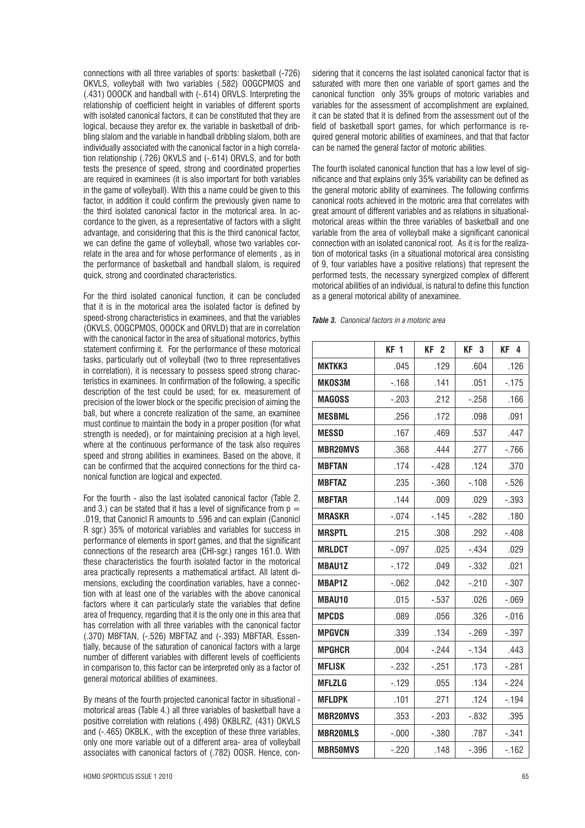connections with all three variables of sports: basketball (-726) OKVLS, volleyball with two variables (.582) OOGCPMOS and (.431) OOOCK and handball with (-.614) ORVLS. Interpreting the relationship of coefficient height in variables of different sports with isolated canonical factors, it can be constituted that they are logical, because they arefor ex. the variable in basketball of dribbling slalom and the variable in handball dribbling slalom, both are individually associated with the canonical factor in a high correlation relationship (.726) OKVLS and (-.614) ORVLS, and for both tests the presence of speed, strong and coordinated properties are required in examinees (it is also important for both variables in the game of volleyball). With this a name could be given to this factor, in addition it could confirm the previously given name to the third isolated canonical factor in the motorical area. In accordance to the given, as a representative of factors with a slight advantage, and considering that this is the third canonical factor, we can define the game of volleyball, whose two variables correlate in the area and for whose performance of elements , as in the performance of basketball and handball slalom, is required quick, strong and coordinated characteristics.

For the third isolated canonical function, it can be concluded that it is in the motorical area the isolated factor is defined by speed-strong characteristics in examinees, and that the variables (OKVLS, OOGCPMOS, OOOCK and ORVLD) that are in correlation with the canonical factor in the area of situational motorics, bythis statement confirming it. For the performance of these motorical tasks, particularly out of volleyball (two to three representatives in correlation), it is necessary to possess speed strong characteristics in examinees. In confirmation of the following, a specific description of the test could be used; for ex. measurement of precision of the lower block or the specific precision of aiming the ball, but where a concrete realization of the same, an examinee must continue to maintain the body in a proper position (for what strength is needed), or for maintaining precision at a high level, where at the continuous performance of the task also requires speed and strong abilities in examinees. Based on the above, it can be confirmed that the acquired connections for the third canonical function are logical and expected.

For the fourth - also the last isolated canonical factor (Table 2. and 3.) can be stated that it has a level of significance from  $p =$ .019, that Canonicl R amounts to .596 and can explain (Canonicl R sgr.) 35% of motorical variables and variables for success in performance of elements in sport games, and that the significant connections of the research area (CHI-sgr.) ranges 161.0. With these characteristics the fourth isolated factor in the motorical area practically represents a mathematical artifact. All latent dimensions, excluding the coordination variables, have a connection with at least one of the variables with the above canonical factors where it can particularly state the variables that define area of frequency, regarding that it is the only one in this area that has correlation with all three variables with the canonical factor (.370) MBFTAN, (-.526) MBFTAZ and (-.393) MBFTAR. Essentially, because of the saturation of canonical factors with a large number of different variables with different levels of coefficients in comparison to, this factor can be interpreted only as a factor of general motorical abilities of examinees.

By means of the fourth projected canonical factor in situational motorical areas (Table 4.) all three variables of basketball have a positive correlation with relations (.498) OKBLRZ, (431) OKVLS and (-.465) OKBLK., with the exception of these three variables, only one more variable out of a different area- area of volleyball associates with canonical factors of (.782) OOSR. Hence, considering that it concerns the last isolated canonical factor that is saturated with more then one variable of sport games and the canonical function only 35% groups of motoric variables and variables for the assessment of accomplishment are explained, it can be stated that it is defined from the assessment out of the field of basketball sport games, for which performance is required general motoric abilities of examinees, and that that factor can be named the general factor of motoric abilities.

The fourth isolated canonical function that has a low level of significance and that explains only 35% variability can be defined as the general motoric ability of examinees. The following confirms canonical roots achieved in the motoric area that correlates with great amount of different variables and as relations in situationalmotorical areas within the three variables of basketball and one variable from the area of volleyball make a significant canonical connection with an isolated canonical root. As it is for the realization of motorical tasks (in a situational motorical area consisting of 9, four variables have a positive relations) that represent the performed tests, the necessary synergized complex of different motorical abilities of an individual, is natural to define this function as a general motorical ability of anexaminee.

*Table 3. Canonical factors in a motoric area*

|                 | KF <sub>1</sub> | KF <sub>2</sub> | KF <sub>3</sub> | KF <sub>4</sub> |
|-----------------|-----------------|-----------------|-----------------|-----------------|
| <b>MKTKK3</b>   | .045            | .129            | .604            | .126            |
| <b>MKOS3M</b>   | $-168$          | .141            | .051            | $-175$          |
| <b>MAGOSS</b>   | $-.203$         | .212            | $-.258$         | .166            |
| <b>MESBML</b>   | .256            | .172            | .098            | .091            |
| <b>MESSD</b>    | .167            | .469            | .537            | .447            |
| <b>MBR20MVS</b> | .368            | .444            | .277            | $-766$          |
| <b>MBFTAN</b>   | .174            | $-.428$         | .124            | .370            |
| <b>MBFTAZ</b>   | .235            | $-.360$         | $-.108$         | $-0.526$        |
| <b>MBFTAR</b>   | .144            | .009            | .029            | $-.393$         |
| <b>MRASKR</b>   | $-.074$         | $-145$          | $-282$          | .180            |
| <b>MRSPTL</b>   | .215            | .308            | .292            | $-.408$         |
| <b>MRLDCT</b>   | $-.097$         | .025            | $-.434$         | .029            |
| <b>MBAU1Z</b>   | $-172$          | .049            | $-.332$         | .021            |
| <b>MBAP1Z</b>   | $-062$          | .042            | $-210$          | $-.307$         |
| <b>MBAU10</b>   | .015            | $-0.537$        | .026            | $-069$          |
| <b>MPCDS</b>    | .089            | .056            | .326            | $-0.016$        |
| <b>MPGVCN</b>   | .339            | .134            | $-269$          | $-.397$         |
| <b>MPGHCR</b>   | .004            | $-244$          | $-134$          | .443            |
| <b>MFLISK</b>   | $-232$          | $-251$          | .173            | $-.281$         |
| <b>MFLZLG</b>   | $-129$          | .055            | .134            | $-224$          |
| <b>MFLDPK</b>   | .101            | .271            | .124            | $-194$          |
| <b>MBR20MVS</b> | .353            | $-.203$         | $-.832$         | .395            |
| <b>MBR20MLS</b> | $-.000$         | $-.380$         | .787            | $-.341$         |
| <b>MBR50MVS</b> | $-.220$         | .148            | $-.396$         | $-162$          |